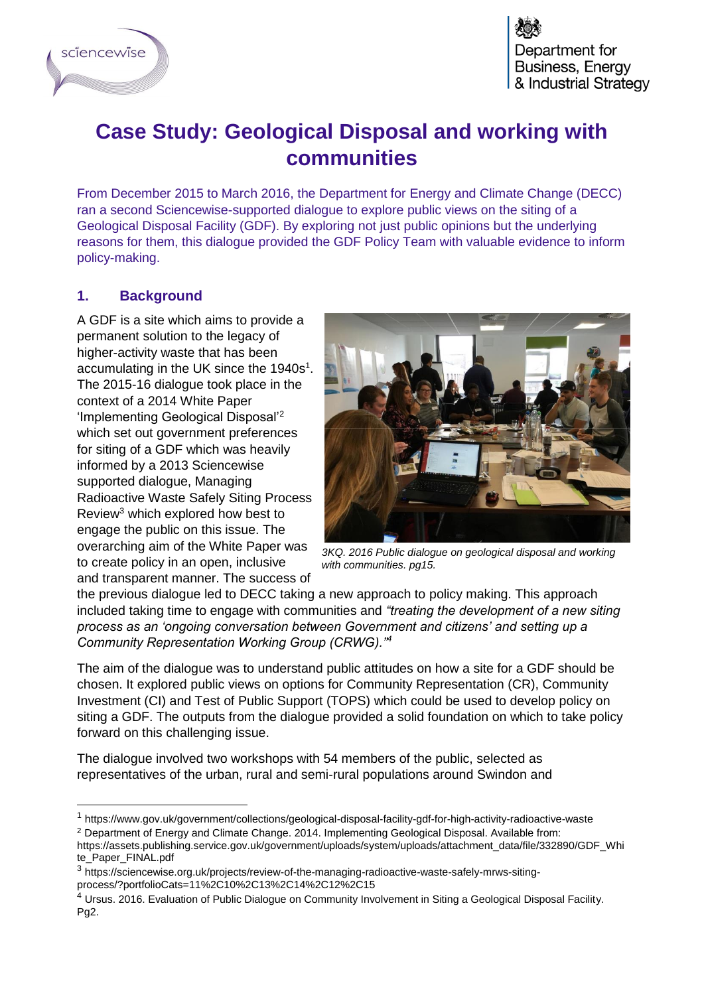

## **Case Study: Geological Disposal and working with communities**

From December 2015 to March 2016, the Department for Energy and Climate Change (DECC) ran a second Sciencewise-supported dialogue to explore public views on the siting of a Geological Disposal Facility (GDF). By exploring not just public opinions but the underlying reasons for them, this dialogue provided the GDF Policy Team with valuable evidence to inform policy-making.

## **1. Background**

 $\overline{a}$ 

A GDF is a site which aims to provide a permanent solution to the legacy of higher-activity waste that has been accumulating in the UK since the 1940s<sup>1</sup>. The 2015-16 dialogue took place in the context of a 2014 White Paper 'Implementing Geological Disposal'<sup>2</sup> which set out government preferences for siting of a GDF which was heavily informed by a 2013 Sciencewise supported dialogue, Managing Radioactive Waste Safely Siting Process Review<sup>3</sup> which explored how best to engage the public on this issue. The overarching aim of the White Paper was to create policy in an open, inclusive and transparent manner. The success of



*3KQ. 2016 Public dialogue on geological disposal and working with communities. pg15.*

the previous dialogue led to DECC taking a new approach to policy making. This approach included taking time to engage with communities and *"treating the development of a new siting process as an 'ongoing conversation between Government and citizens' and setting up a Community Representation Working Group (CRWG)."<sup>4</sup>*

The aim of the dialogue was to understand public attitudes on how a site for a GDF should be chosen. It explored public views on options for Community Representation (CR), Community Investment (CI) and Test of Public Support (TOPS) which could be used to develop policy on siting a GDF. The outputs from the dialogue provided a solid foundation on which to take policy forward on this challenging issue.

The dialogue involved two workshops with 54 members of the public, selected as representatives of the urban, rural and semi-rural populations around Swindon and

<sup>1</sup> https://www.gov.uk/government/collections/geological-disposal-facility-gdf-for-high-activity-radioactive-waste <sup>2</sup> Department of Energy and Climate Change. 2014. Implementing Geological Disposal. Available from:

https://assets.publishing.service.gov.uk/government/uploads/system/uploads/attachment\_data/file/332890/GDF\_Whi te\_Paper\_FINAL.pdf

<sup>&</sup>lt;sup>3</sup> https://sciencewise.org.uk/projects/review-of-the-managing-radioactive-waste-safely-mrws-sitingprocess/?portfolioCats=11%2C10%2C13%2C14%2C12%2C15

<sup>&</sup>lt;sup>4</sup> Ursus. 2016. Evaluation of Public Dialogue on Community Involvement in Siting a Geological Disposal Facility. Pg2.